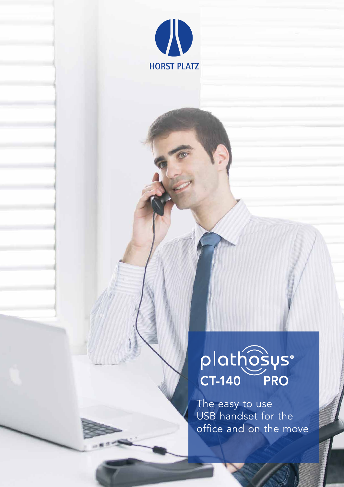

# plathosys®

The easy to use USB handset for the office and on the move